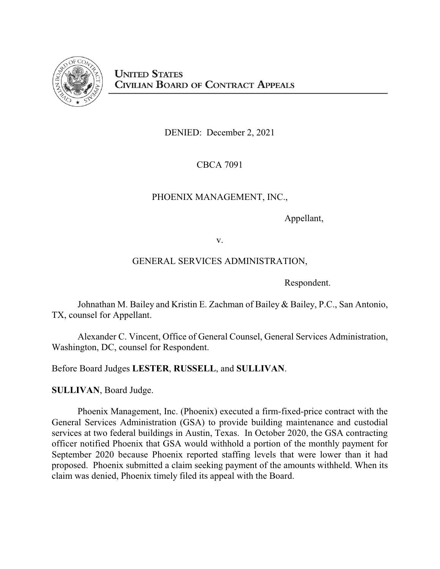

DENIED: December 2, 2021

CBCA 7091

# PHOENIX MANAGEMENT, INC.,

Appellant,

v.

# GENERAL SERVICES ADMINISTRATION,

Respondent.

Johnathan M. Bailey and Kristin E. Zachman of Bailey & Bailey, P.C., San Antonio, TX, counsel for Appellant.

Alexander C. Vincent, Office of General Counsel, General Services Administration, Washington, DC, counsel for Respondent.

Before Board Judges **LESTER**, **RUSSELL**, and **SULLIVAN**.

**SULLIVAN**, Board Judge.

Phoenix Management, Inc. (Phoenix) executed a firm-fixed-price contract with the General Services Administration (GSA) to provide building maintenance and custodial services at two federal buildings in Austin, Texas. In October 2020, the GSA contracting officer notified Phoenix that GSA would withhold a portion of the monthly payment for September 2020 because Phoenix reported staffing levels that were lower than it had proposed. Phoenix submitted a claim seeking payment of the amounts withheld. When its claim was denied, Phoenix timely filed its appeal with the Board.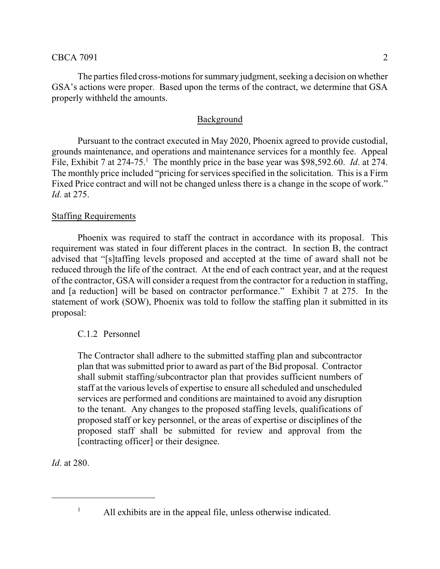The parties filed cross-motions for summary judgment, seeking a decision on whether GSA's actions were proper. Based upon the terms of the contract, we determine that GSA properly withheld the amounts.

## Background

Pursuant to the contract executed in May 2020, Phoenix agreed to provide custodial, grounds maintenance, and operations and maintenance services for a monthly fee. Appeal File, Exhibit 7 at  $274-75$ <sup>1</sup>. The monthly price in the base year was \$98,592.60. *Id.* at 274. The monthly price included "pricing for services specified in the solicitation. This is a Firm Fixed Price contract and will not be changed unless there is a change in the scope of work." *Id*. at 275.

## Staffing Requirements

Phoenix was required to staff the contract in accordance with its proposal. This requirement was stated in four different places in the contract. In section B, the contract advised that "[s]taffing levels proposed and accepted at the time of award shall not be reduced through the life of the contract. At the end of each contract year, and at the request of the contractor, GSA will consider a request from the contractor for a reduction in staffing, and [a reduction] will be based on contractor performance." Exhibit 7 at 275. In the statement of work (SOW), Phoenix was told to follow the staffing plan it submitted in its proposal:

## C.1.2 Personnel

The Contractor shall adhere to the submitted staffing plan and subcontractor plan that was submitted prior to award as part of the Bid proposal. Contractor shall submit staffing/subcontractor plan that provides sufficient numbers of staff at the various levels of expertise to ensure all scheduled and unscheduled services are performed and conditions are maintained to avoid any disruption to the tenant. Any changes to the proposed staffing levels, qualifications of proposed staff or key personnel, or the areas of expertise or disciplines of the proposed staff shall be submitted for review and approval from the [contracting officer] or their designee.

*Id*. at 280.

<sup>&</sup>lt;sup>1</sup> All exhibits are in the appeal file, unless otherwise indicated.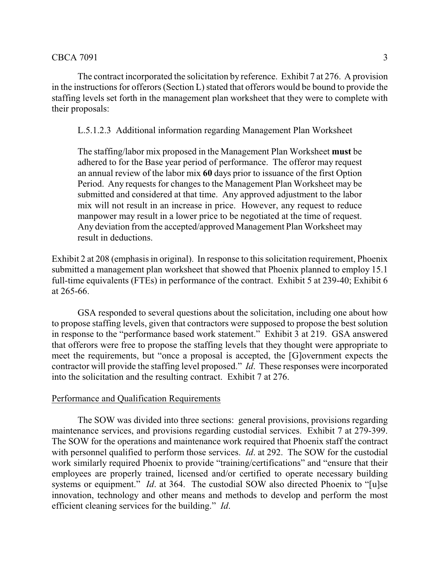The contract incorporated the solicitation by reference. Exhibit 7 at 276. A provision in the instructions for offerors (Section L) stated that offerors would be bound to provide the staffing levels set forth in the management plan worksheet that they were to complete with their proposals:

L.5.1.2.3 Additional information regarding Management Plan Worksheet

The staffing/labor mix proposed in the Management Plan Worksheet **must** be adhered to for the Base year period of performance. The offeror may request an annual review of the labor mix **60** days prior to issuance of the first Option Period. Any requests for changes to the Management Plan Worksheet may be submitted and considered at that time. Any approved adjustment to the labor mix will not result in an increase in price. However, any request to reduce manpower may result in a lower price to be negotiated at the time of request. Any deviation from the accepted/approved Management Plan Worksheet may result in deductions.

Exhibit 2 at 208 (emphasis in original). In response to this solicitation requirement, Phoenix submitted a management plan worksheet that showed that Phoenix planned to employ 15.1 full-time equivalents (FTEs) in performance of the contract. Exhibit 5 at 239-40; Exhibit 6 at 265-66.

GSA responded to several questions about the solicitation, including one about how to propose staffing levels, given that contractors were supposed to propose the best solution in response to the "performance based work statement." Exhibit 3 at 219. GSA answered that offerors were free to propose the staffing levels that they thought were appropriate to meet the requirements, but "once a proposal is accepted, the [G]overnment expects the contractor will provide the staffing level proposed." *Id*. These responses were incorporated into the solicitation and the resulting contract. Exhibit 7 at 276.

### Performance and Qualification Requirements

The SOW was divided into three sections: general provisions, provisions regarding maintenance services, and provisions regarding custodial services. Exhibit 7 at 279-399. The SOW for the operations and maintenance work required that Phoenix staff the contract with personnel qualified to perform those services. *Id*. at 292. The SOW for the custodial work similarly required Phoenix to provide "training/certifications" and "ensure that their employees are properly trained, licensed and/or certified to operate necessary building systems or equipment." *Id.* at 364. The custodial SOW also directed Phoenix to "[u]se innovation, technology and other means and methods to develop and perform the most efficient cleaning services for the building." *Id*.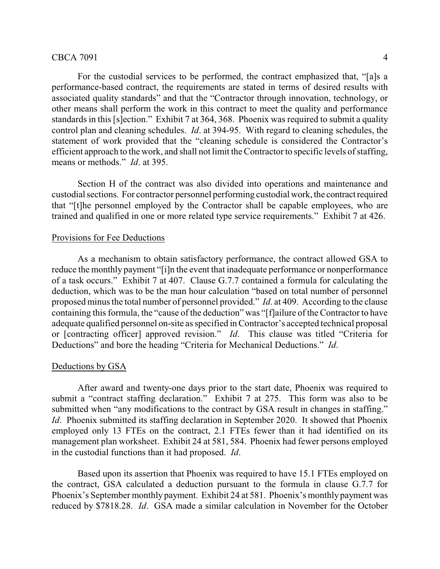For the custodial services to be performed, the contract emphasized that, "[a]s a performance-based contract, the requirements are stated in terms of desired results with associated quality standards" and that the "Contractor through innovation, technology, or other means shall perform the work in this contract to meet the quality and performance standards in this [s]ection." Exhibit 7 at 364, 368. Phoenix was required to submit a quality control plan and cleaning schedules. *Id*. at 394-95. With regard to cleaning schedules, the statement of work provided that the "cleaning schedule is considered the Contractor's efficient approach to the work, and shall not limit the Contractor to specific levels of staffing, means or methods." *Id*. at 395.

Section H of the contract was also divided into operations and maintenance and custodial sections. For contractor personnel performing custodial work, the contractrequired that "[t]he personnel employed by the Contractor shall be capable employees, who are trained and qualified in one or more related type service requirements." Exhibit 7 at 426.

#### Provisions for Fee Deductions

As a mechanism to obtain satisfactory performance, the contract allowed GSA to reduce the monthly payment "[i]n the event that inadequate performance or nonperformance of a task occurs." Exhibit 7 at 407. Clause G.7.7 contained a formula for calculating the deduction, which was to be the man hour calculation "based on total number of personnel proposed minus the total number of personnel provided." *Id*. at 409. According to the clause containing this formula, the "cause of the deduction" was "[f]ailure of the Contractor to have adequate qualified personnel on-site as specified in Contractor's accepted technical proposal or [contracting officer] approved revision." *Id*. This clause was titled "Criteria for Deductions" and bore the heading "Criteria for Mechanical Deductions." *Id*.

#### Deductions by GSA

After award and twenty-one days prior to the start date, Phoenix was required to submit a "contract staffing declaration." Exhibit 7 at 275. This form was also to be submitted when "any modifications to the contract by GSA result in changes in staffing." *Id.* Phoenix submitted its staffing declaration in September 2020. It showed that Phoenix employed only 13 FTEs on the contract, 2.1 FTEs fewer than it had identified on its management plan worksheet. Exhibit 24 at 581, 584. Phoenix had fewer persons employed in the custodial functions than it had proposed. *Id*.

Based upon its assertion that Phoenix was required to have 15.1 FTEs employed on the contract, GSA calculated a deduction pursuant to the formula in clause G.7.7 for Phoenix's September monthly payment. Exhibit 24 at 581. Phoenix's monthly payment was reduced by \$7818.28. *Id*. GSA made a similar calculation in November for the October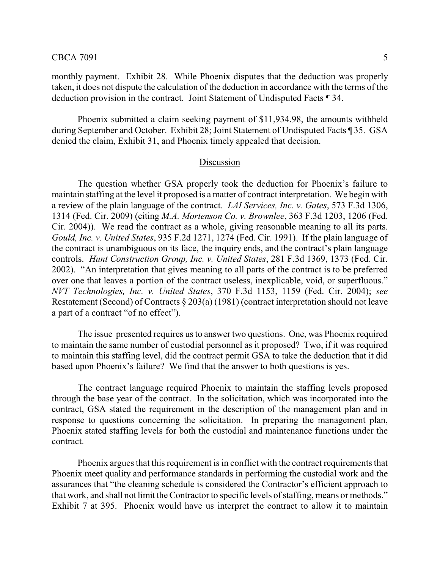monthly payment. Exhibit 28. While Phoenix disputes that the deduction was properly taken, it does not dispute the calculation of the deduction in accordance with the terms of the deduction provision in the contract. Joint Statement of Undisputed Facts ¶ 34.

Phoenix submitted a claim seeking payment of \$11,934.98, the amounts withheld during September and October. Exhibit 28; Joint Statement of Undisputed Facts ¶ 35. GSA denied the claim, Exhibit 31, and Phoenix timely appealed that decision.

#### Discussion

The question whether GSA properly took the deduction for Phoenix's failure to maintain staffing at the level it proposed is a matter of contract interpretation. We begin with a review of the plain language of the contract. *LAI Services, Inc. v. Gates*, 573 F.3d 1306, 1314 (Fed. Cir. 2009) (citing *M.A. Mortenson Co. v. Brownlee*, 363 F.3d 1203, 1206 (Fed. Cir. 2004)). We read the contract as a whole, giving reasonable meaning to all its parts. *Gould, Inc. v. United States*, 935 F.2d 1271, 1274 (Fed. Cir. 1991). If the plain language of the contract is unambiguous on its face, the inquiry ends, and the contract's plain language controls. *Hunt Construction Group, Inc. v. United States*, 281 F.3d 1369, 1373 (Fed. Cir. 2002). "An interpretation that gives meaning to all parts of the contract is to be preferred over one that leaves a portion of the contract useless, inexplicable, void, or superfluous." *NVT Technologies, Inc. v. United States*, 370 F.3d 1153, 1159 (Fed. Cir. 2004); *see* Restatement (Second) of Contracts § 203(a) (1981) (contract interpretation should not leave a part of a contract "of no effect").

The issue presented requires us to answer two questions. One, was Phoenix required to maintain the same number of custodial personnel as it proposed? Two, if it was required to maintain this staffing level, did the contract permit GSA to take the deduction that it did based upon Phoenix's failure? We find that the answer to both questions is yes.

The contract language required Phoenix to maintain the staffing levels proposed through the base year of the contract. In the solicitation, which was incorporated into the contract, GSA stated the requirement in the description of the management plan and in response to questions concerning the solicitation. In preparing the management plan, Phoenix stated staffing levels for both the custodial and maintenance functions under the contract.

Phoenix argues that this requirement is in conflict with the contract requirements that Phoenix meet quality and performance standards in performing the custodial work and the assurances that "the cleaning schedule is considered the Contractor's efficient approach to that work, and shall not limit the Contractor to specific levels of staffing, means or methods." Exhibit 7 at 395. Phoenix would have us interpret the contract to allow it to maintain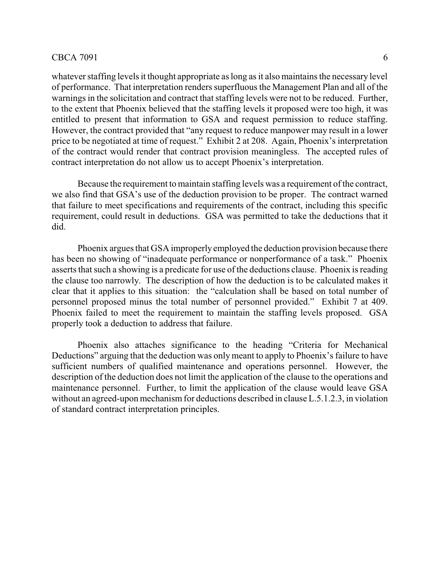whatever staffing levels it thought appropriate as long as it also maintains the necessary level of performance. That interpretation renders superfluous the Management Plan and all of the warnings in the solicitation and contract that staffing levels were not to be reduced. Further, to the extent that Phoenix believed that the staffing levels it proposed were too high, it was entitled to present that information to GSA and request permission to reduce staffing. However, the contract provided that "any request to reduce manpower may result in a lower price to be negotiated at time of request." Exhibit 2 at 208. Again, Phoenix's interpretation of the contract would render that contract provision meaningless. The accepted rules of contract interpretation do not allow us to accept Phoenix's interpretation.

Because the requirement to maintain staffing levels was a requirement of the contract, we also find that GSA's use of the deduction provision to be proper. The contract warned that failure to meet specifications and requirements of the contract, including this specific requirement, could result in deductions. GSA was permitted to take the deductions that it did.

Phoenix argues that GSA improperlyemployed the deduction provision because there has been no showing of "inadequate performance or nonperformance of a task." Phoenix asserts that such a showing is a predicate for use of the deductions clause. Phoenix is reading the clause too narrowly. The description of how the deduction is to be calculated makes it clear that it applies to this situation: the "calculation shall be based on total number of personnel proposed minus the total number of personnel provided." Exhibit 7 at 409. Phoenix failed to meet the requirement to maintain the staffing levels proposed. GSA properly took a deduction to address that failure.

Phoenix also attaches significance to the heading "Criteria for Mechanical Deductions" arguing that the deduction was only meant to apply to Phoenix's failure to have sufficient numbers of qualified maintenance and operations personnel. However, the description of the deduction does not limit the application of the clause to the operations and maintenance personnel. Further, to limit the application of the clause would leave GSA without an agreed-upon mechanism for deductions described in clause  $L.5.1.2.3$ , in violation of standard contract interpretation principles.